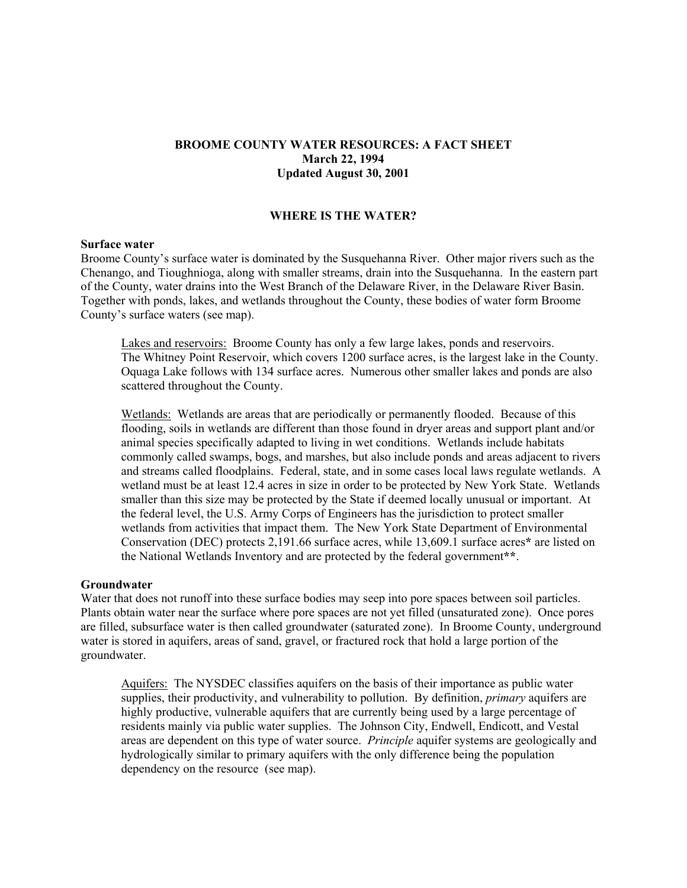## **BROOME COUNTY WATER RESOURCES: A FACT SHEET March 22, 1994 Updated August 30, 2001**

## **WHERE IS THE WATER?**

#### **Surface water**

Broome County's surface water is dominated by the Susquehanna River. Other major rivers such as the Chenango, and Tioughnioga, along with smaller streams, drain into the Susquehanna. In the eastern part of the County, water drains into the West Branch of the Delaware River, in the Delaware River Basin. Together with ponds, lakes, and wetlands throughout the County, these bodies of water form Broome County's surface waters (see map).

Lakes and reservoirs: Broome County has only a few large lakes, ponds and reservoirs. The Whitney Point Reservoir, which covers 1200 surface acres, is the largest lake in the County. Oquaga Lake follows with 134 surface acres. Numerous other smaller lakes and ponds are also scattered throughout the County.

Wetlands: Wetlands are areas that are periodically or permanently flooded. Because of this flooding, soils in wetlands are different than those found in dryer areas and support plant and/or animal species specifically adapted to living in wet conditions. Wetlands include habitats commonly called swamps, bogs, and marshes, but also include ponds and areas adjacent to rivers and streams called floodplains. Federal, state, and in some cases local laws regulate wetlands. A wetland must be at least 12.4 acres in size in order to be protected by New York State. Wetlands smaller than this size may be protected by the State if deemed locally unusual or important. At the federal level, the U.S. Army Corps of Engineers has the jurisdiction to protect smaller wetlands from activities that impact them. The New York State Department of Environmental Conservation (DEC) protects 2,191.66 surface acres, while 13,609.1 surface acres**\*** are listed on the National Wetlands Inventory and are protected by the federal government**\*\***.

#### **Groundwater**

Water that does not runoff into these surface bodies may seep into pore spaces between soil particles. Plants obtain water near the surface where pore spaces are not yet filled (unsaturated zone). Once pores are filled, subsurface water is then called groundwater (saturated zone). In Broome County, underground water is stored in aquifers, areas of sand, gravel, or fractured rock that hold a large portion of the groundwater.

Aquifers: The NYSDEC classifies aquifers on the basis of their importance as public water supplies, their productivity, and vulnerability to pollution. By definition, *primary* aquifers are highly productive, vulnerable aquifers that are currently being used by a large percentage of residents mainly via public water supplies. The Johnson City, Endwell, Endicott, and Vestal areas are dependent on this type of water source. *Principle* aquifer systems are geologically and hydrologically similar to primary aquifers with the only difference being the population dependency on the resource (see map).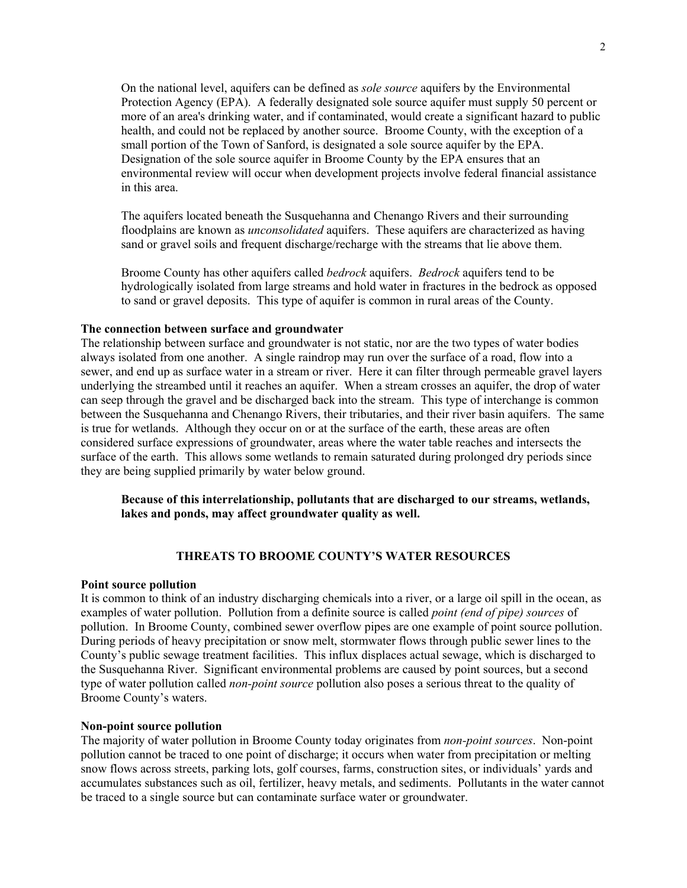On the national level, aquifers can be defined as *sole source* aquifers by the Environmental Protection Agency (EPA). A federally designated sole source aquifer must supply 50 percent or more of an area's drinking water, and if contaminated, would create a significant hazard to public health, and could not be replaced by another source. Broome County, with the exception of a small portion of the Town of Sanford, is designated a sole source aquifer by the EPA. Designation of the sole source aquifer in Broome County by the EPA ensures that an environmental review will occur when development projects involve federal financial assistance in this area.

The aquifers located beneath the Susquehanna and Chenango Rivers and their surrounding floodplains are known as *unconsolidated* aquifers. These aquifers are characterized as having sand or gravel soils and frequent discharge/recharge with the streams that lie above them.

Broome County has other aquifers called *bedrock* aquifers. *Bedrock* aquifers tend to be hydrologically isolated from large streams and hold water in fractures in the bedrock as opposed to sand or gravel deposits. This type of aquifer is common in rural areas of the County.

#### **The connection between surface and groundwater**

The relationship between surface and groundwater is not static, nor are the two types of water bodies always isolated from one another. A single raindrop may run over the surface of a road, flow into a sewer, and end up as surface water in a stream or river. Here it can filter through permeable gravel layers underlying the streambed until it reaches an aquifer. When a stream crosses an aquifer, the drop of water can seep through the gravel and be discharged back into the stream. This type of interchange is common between the Susquehanna and Chenango Rivers, their tributaries, and their river basin aquifers. The same is true for wetlands. Although they occur on or at the surface of the earth, these areas are often considered surface expressions of groundwater, areas where the water table reaches and intersects the surface of the earth. This allows some wetlands to remain saturated during prolonged dry periods since they are being supplied primarily by water below ground.

**Because of this interrelationship, pollutants that are discharged to our streams, wetlands, lakes and ponds, may affect groundwater quality as well.** 

## **THREATS TO BROOME COUNTY'S WATER RESOURCES**

#### **Point source pollution**

It is common to think of an industry discharging chemicals into a river, or a large oil spill in the ocean, as examples of water pollution. Pollution from a definite source is called *point (end of pipe) sources* of pollution. In Broome County, combined sewer overflow pipes are one example of point source pollution. During periods of heavy precipitation or snow melt, stormwater flows through public sewer lines to the County's public sewage treatment facilities. This influx displaces actual sewage, which is discharged to the Susquehanna River. Significant environmental problems are caused by point sources, but a second type of water pollution called *non-point source* pollution also poses a serious threat to the quality of Broome County's waters.

#### **Non-point source pollution**

The majority of water pollution in Broome County today originates from *non-point sources*. Non-point pollution cannot be traced to one point of discharge; it occurs when water from precipitation or melting snow flows across streets, parking lots, golf courses, farms, construction sites, or individuals' yards and accumulates substances such as oil, fertilizer, heavy metals, and sediments. Pollutants in the water cannot be traced to a single source but can contaminate surface water or groundwater.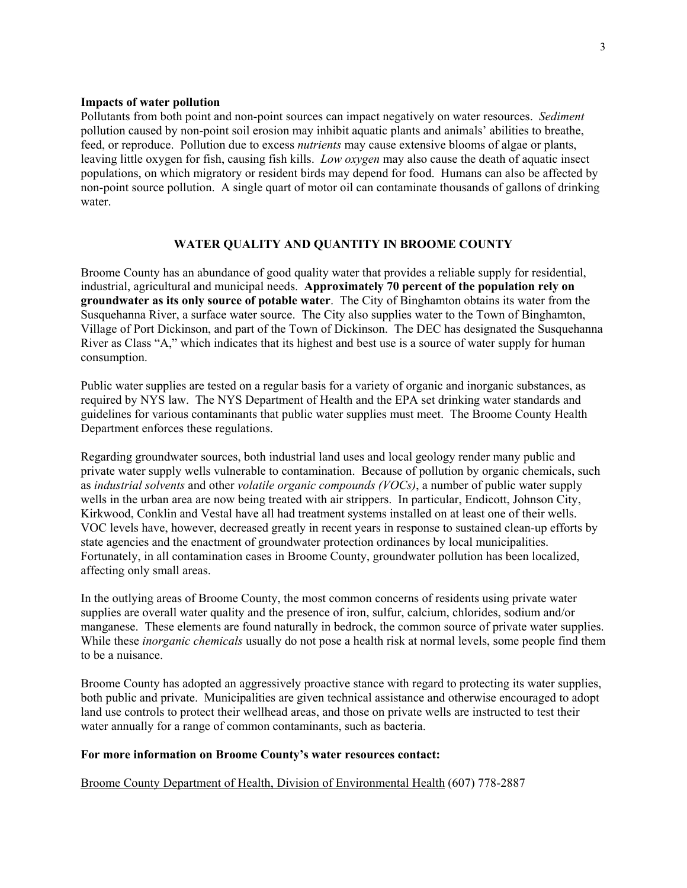### **Impacts of water pollution**

Pollutants from both point and non-point sources can impact negatively on water resources. *Sediment* pollution caused by non-point soil erosion may inhibit aquatic plants and animals' abilities to breathe, feed, or reproduce. Pollution due to excess *nutrients* may cause extensive blooms of algae or plants, leaving little oxygen for fish, causing fish kills. *Low oxygen* may also cause the death of aquatic insect populations, on which migratory or resident birds may depend for food. Humans can also be affected by non-point source pollution. A single quart of motor oil can contaminate thousands of gallons of drinking water.

# **WATER QUALITY AND QUANTITY IN BROOME COUNTY**

Broome County has an abundance of good quality water that provides a reliable supply for residential, industrial, agricultural and municipal needs. **Approximately 70 percent of the population rely on groundwater as its only source of potable water**. The City of Binghamton obtains its water from the Susquehanna River, a surface water source. The City also supplies water to the Town of Binghamton, Village of Port Dickinson, and part of the Town of Dickinson. The DEC has designated the Susquehanna River as Class "A," which indicates that its highest and best use is a source of water supply for human consumption.

Public water supplies are tested on a regular basis for a variety of organic and inorganic substances, as required by NYS law. The NYS Department of Health and the EPA set drinking water standards and guidelines for various contaminants that public water supplies must meet. The Broome County Health Department enforces these regulations.

Regarding groundwater sources, both industrial land uses and local geology render many public and private water supply wells vulnerable to contamination. Because of pollution by organic chemicals, such as *industrial solvents* and other *volatile organic compounds (VOCs)*, a number of public water supply wells in the urban area are now being treated with air strippers. In particular, Endicott, Johnson City, Kirkwood, Conklin and Vestal have all had treatment systems installed on at least one of their wells. VOC levels have, however, decreased greatly in recent years in response to sustained clean-up efforts by state agencies and the enactment of groundwater protection ordinances by local municipalities. Fortunately, in all contamination cases in Broome County, groundwater pollution has been localized, affecting only small areas.

In the outlying areas of Broome County, the most common concerns of residents using private water supplies are overall water quality and the presence of iron, sulfur, calcium, chlorides, sodium and/or manganese. These elements are found naturally in bedrock, the common source of private water supplies. While these *inorganic chemicals* usually do not pose a health risk at normal levels, some people find them to be a nuisance.

Broome County has adopted an aggressively proactive stance with regard to protecting its water supplies, both public and private. Municipalities are given technical assistance and otherwise encouraged to adopt land use controls to protect their wellhead areas, and those on private wells are instructed to test their water annually for a range of common contaminants, such as bacteria.

#### **For more information on Broome County's water resources contact:**

Broome County Department of Health, Division of Environmental Health (607) 778-2887